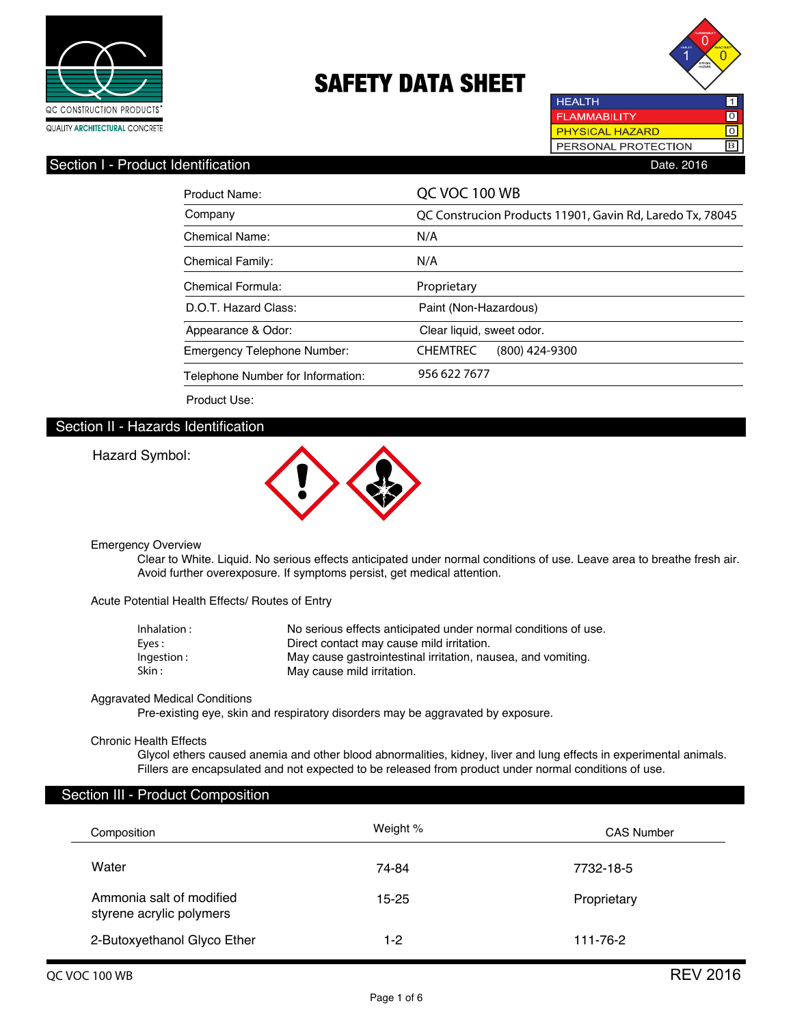



PERSONAL PROTECTION

**HEALTH** 

B

## Section I - Product Identification **Date. 2016** Date. 2016

| Product Name:                     | QC VOC 100 WB                                             |  |
|-----------------------------------|-----------------------------------------------------------|--|
| Company                           | QC Construcion Products 11901, Gavin Rd, Laredo Tx, 78045 |  |
| <b>Chemical Name:</b>             | N/A                                                       |  |
| <b>Chemical Family:</b>           | N/A                                                       |  |
| Chemical Formula:                 | Proprietary                                               |  |
| D.O.T. Hazard Class:              | Paint (Non-Hazardous)                                     |  |
| Appearance & Odor:                | Clear liquid, sweet odor.                                 |  |
| Emergency Telephone Number:       | <b>CHEMTREC</b><br>$(800)$ 424-9300                       |  |
| Telephone Number for Information: | 956 622 7677                                              |  |
| Product Use:                      |                                                           |  |

## Section II - Hazards Identification

Hazard Symbol:



#### Emergency Overview

 Clear to White. Liquid. No serious effects anticipated under normal conditions of use. Leave area to breathe fresh air. Avoid further overexposure. If symptoms persist, get medical attention.

Acute Potential Health Effects/ Routes of Entry

| Inhalation : | No serious effects anticipated under normal conditions of use. |
|--------------|----------------------------------------------------------------|
| Eves :       | Direct contact may cause mild irritation.                      |
| Ingestion :  | May cause gastrointestinal irritation, nausea, and vomiting.   |
| Skin :       | May cause mild irritation.                                     |

## Aggravated Medical Conditions

Pre-existing eye, skin and respiratory disorders may be aggravated by exposure.

#### Chronic Health Effects

 Glycol ethers caused anemia and other blood abnormalities, kidney, liver and lung effects in experimental animals. Fillers are encapsulated and not expected to be released from product under normal conditions of use.

## Section III - Product Composition

| Composition                                          | Weight % | <b>CAS Number</b> |
|------------------------------------------------------|----------|-------------------|
| Water                                                | 74-84    | 7732-18-5         |
| Ammonia salt of modified<br>styrene acrylic polymers | 15-25    | Proprietary       |
| 2-Butoxyethanol Glyco Ether                          | $1-2$    | 111-76-2          |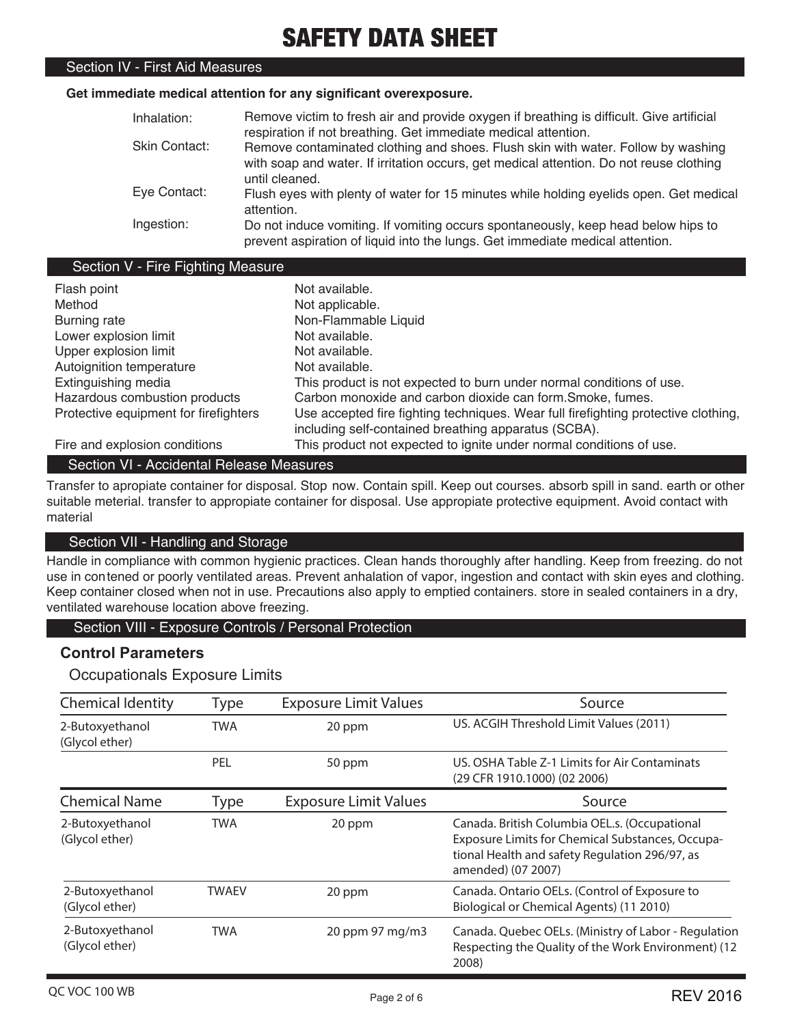## Section IV - First Aid Measures

### **Get immediate medical attention for any significant overexposure.**

| Inhalation:   | Remove victim to fresh air and provide oxygen if breathing is difficult. Give artificial                                                                           |
|---------------|--------------------------------------------------------------------------------------------------------------------------------------------------------------------|
|               | respiration if not breathing. Get immediate medical attention.                                                                                                     |
| Skin Contact: | Remove contaminated clothing and shoes. Flush skin with water. Follow by washing                                                                                   |
|               | with soap and water. If irritation occurs, get medical attention. Do not reuse clothing<br>until cleaned.                                                          |
|               |                                                                                                                                                                    |
| Eye Contact:  | Flush eves with plenty of water for 15 minutes while holding eyelids open. Get medical<br>attention.                                                               |
| Ingestion:    | Do not induce vomiting. If vomiting occurs spontaneously, keep head below hips to<br>prevent aspiration of liquid into the lungs. Get immediate medical attention. |

## Section V - Fire Fighting Measure

| Flash point                           | Not available.                                                                     |
|---------------------------------------|------------------------------------------------------------------------------------|
| Method                                | Not applicable.                                                                    |
| Burning rate                          | Non-Flammable Liquid                                                               |
| Lower explosion limit                 | Not available.                                                                     |
| Upper explosion limit                 | Not available.                                                                     |
| Autoignition temperature              | Not available.                                                                     |
| Extinguishing media                   | This product is not expected to burn under normal conditions of use.               |
| Hazardous combustion products         | Carbon monoxide and carbon dioxide can form. Smoke, fumes.                         |
| Protective equipment for firefighters | Use accepted fire fighting techniques. Wear full firefighting protective clothing, |
|                                       | including self-contained breathing apparatus (SCBA).                               |
| Fire and explosion conditions         | This product not expected to ignite under normal conditions of use.                |

## Section VI - Accidental Release Measures

Transfer to apropiate container for disposal. Stop now. Contain spill. Keep out courses. absorb spill in sand. earth or other suitable meterial. transfer to appropiate container for disposal. Use appropiate protective equipment. Avoid contact with material

## Section VII - Handling and Storage

Handle in compliance with common hygienic practices. Clean hands thoroughly after handling. Keep from freezing. do not use in contened or poorly ventilated areas. Prevent anhalation of vapor, ingestion and contact with skin eyes and clothing. Keep container closed when not in use. Precautions also apply to emptied containers. store in sealed containers in a dry, ventilated warehouse location above freezing.

## Section VIII - Exposure Controls / Personal Protection

## **Control Parameters**

## Occupationals Exposure Limits

| <b>Chemical Identity</b>          | <b>Type</b>  | <b>Exposure Limit Values</b> | Source                                                                                                                                                                    |
|-----------------------------------|--------------|------------------------------|---------------------------------------------------------------------------------------------------------------------------------------------------------------------------|
| 2-Butoxyethanol<br>(Glycol ether) | TWA          | 20 ppm                       | US. ACGIH Threshold Limit Values (2011)                                                                                                                                   |
|                                   | PEL          | 50 ppm                       | US. OSHA Table Z-1 Limits for Air Contaminats<br>(29 CFR 1910.1000) (02 2006)                                                                                             |
| <b>Chemical Name</b>              | Type         | <b>Exposure Limit Values</b> | Source                                                                                                                                                                    |
| 2-Butoxyethanol<br>(Glycol ether) | <b>TWA</b>   | 20 ppm                       | Canada. British Columbia OEL.s. (Occupational<br>Exposure Limits for Chemical Substances, Occupa-<br>tional Health and safety Regulation 296/97, as<br>amended) (07 2007) |
| 2-Butoxyethanol<br>(Glycol ether) | <b>TWAEV</b> | 20 ppm                       | Canada. Ontario OELs. (Control of Exposure to<br>Biological or Chemical Agents) (11 2010)                                                                                 |
| 2-Butoxyethanol<br>(Glycol ether) | <b>TWA</b>   | 20 ppm 97 mg/m3              | Canada. Quebec OELs. (Ministry of Labor - Regulation<br>Respecting the Quality of the Work Environment) (12<br>2008)                                                      |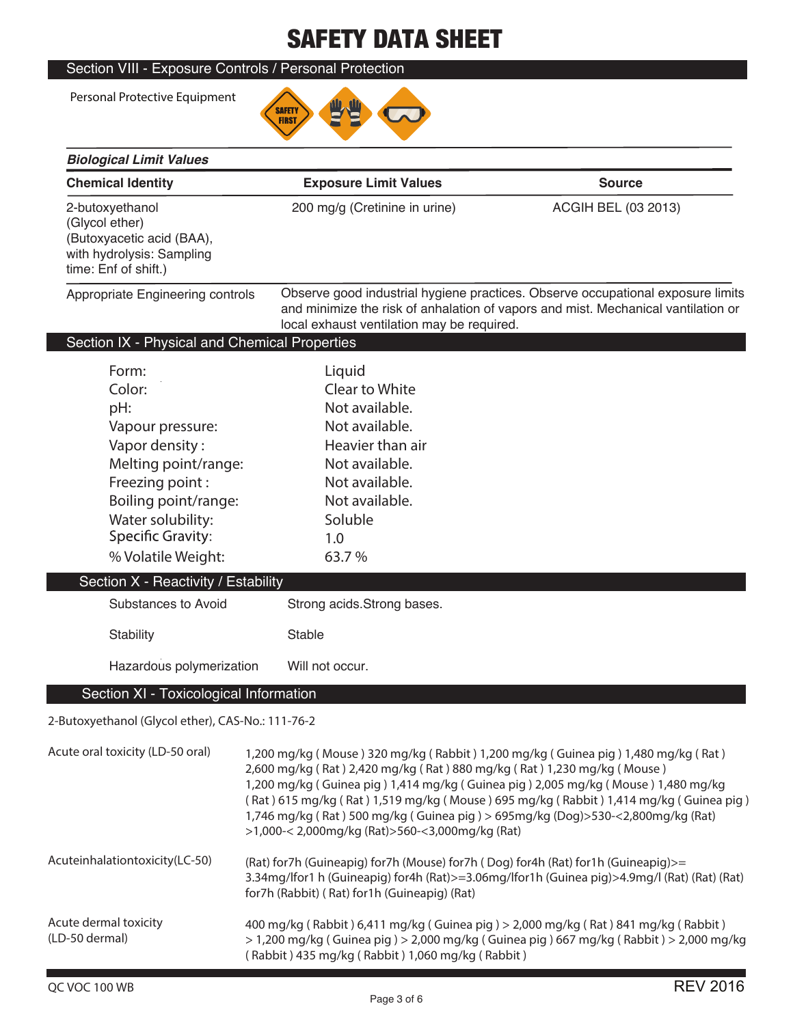## Section VIII - Exposure Controls / Personal Protection

Personal Protective Equipment

*Biological Limit Values* 



| <b>Chemical Identity</b>                                                                                                                                                                                                                                             | <b>Exposure Limit Values</b>                                                                                                                                                                     | <b>Source</b>                                                                                                                                                                                                                                                                                                                                      |
|----------------------------------------------------------------------------------------------------------------------------------------------------------------------------------------------------------------------------------------------------------------------|--------------------------------------------------------------------------------------------------------------------------------------------------------------------------------------------------|----------------------------------------------------------------------------------------------------------------------------------------------------------------------------------------------------------------------------------------------------------------------------------------------------------------------------------------------------|
| 2-butoxyethanol<br>(Glycol ether)<br>(Butoxyacetic acid (BAA),<br>with hydrolysis: Sampling<br>time: Enf of shift.)                                                                                                                                                  | 200 mg/g (Cretinine in urine)                                                                                                                                                                    | <b>ACGIH BEL (03 2013)</b>                                                                                                                                                                                                                                                                                                                         |
| Appropriate Engineering controls                                                                                                                                                                                                                                     | local exhaust ventilation may be required.                                                                                                                                                       | Observe good industrial hygiene practices. Observe occupational exposure limits<br>and minimize the risk of anhalation of vapors and mist. Mechanical vantilation or                                                                                                                                                                               |
| Section IX - Physical and Chemical Properties                                                                                                                                                                                                                        |                                                                                                                                                                                                  |                                                                                                                                                                                                                                                                                                                                                    |
| Form:<br>Color:<br>pH:<br>Vapour pressure:<br>Vapor density:<br>Melting point/range:<br>Freezing point:<br>Boiling point/range:<br>Water solubility:<br><b>Specific Gravity:</b><br>% Volatile Weight:<br>Section X - Reactivity / Estability<br>Substances to Avoid | Liquid<br>Clear to White<br>Not available.<br>Not available.<br>Heavier than air<br>Not available.<br>Not available.<br>Not available.<br>Soluble<br>1.0<br>63.7%<br>Strong acids. Strong bases. |                                                                                                                                                                                                                                                                                                                                                    |
| Stability                                                                                                                                                                                                                                                            | Stable                                                                                                                                                                                           |                                                                                                                                                                                                                                                                                                                                                    |
| Hazardous polymerization                                                                                                                                                                                                                                             | Will not occur.                                                                                                                                                                                  |                                                                                                                                                                                                                                                                                                                                                    |
| Section XI - Toxicological Information                                                                                                                                                                                                                               |                                                                                                                                                                                                  |                                                                                                                                                                                                                                                                                                                                                    |
| 2-Butoxyethanol (Glycol ether), CAS-No.: 111-76-2                                                                                                                                                                                                                    |                                                                                                                                                                                                  |                                                                                                                                                                                                                                                                                                                                                    |
| Acute oral toxicity (LD-50 oral)                                                                                                                                                                                                                                     | 2,600 mg/kg (Rat) 2,420 mg/kg (Rat) 880 mg/kg (Rat) 1,230 mg/kg (Mouse)<br>>1,000-< 2,000mg/kg (Rat)>560-<3,000mg/kg (Rat)                                                                       | 1,200 mg/kg (Mouse) 320 mg/kg (Rabbit) 1,200 mg/kg (Guinea pig) 1,480 mg/kg (Rat)<br>1,200 mg/kg (Guinea pig) 1,414 mg/kg (Guinea pig) 2,005 mg/kg (Mouse) 1,480 mg/kg<br>(Rat) 615 mg/kg (Rat) 1,519 mg/kg (Mouse) 695 mg/kg (Rabbit) 1,414 mg/kg (Guinea pig)<br>1,746 mg/kg (Rat) 500 mg/kg (Guinea pig) > 695mg/kg (Dog)>530-<2,800mg/kg (Rat) |
| Acuteinhalationtoxicity(LC-50)                                                                                                                                                                                                                                       | (Rat) for7h (Guineapig) for7h (Mouse) for7h (Dog) for4h (Rat) for1h (Guineapig)>=<br>for7h (Rabbit) (Rat) for1h (Guineapig) (Rat)                                                                | 3.34mg/lfor1 h (Guineapig) for4h (Rat)>=3.06mg/lfor1h (Guinea pig)>4.9mg/l (Rat) (Rat) (Rat)                                                                                                                                                                                                                                                       |
| Acute dermal toxicity<br>(LD-50 dermal)                                                                                                                                                                                                                              | (Rabbit) 435 mg/kg (Rabbit) 1,060 mg/kg (Rabbit)                                                                                                                                                 | 400 mg/kg (Rabbit) 6,411 mg/kg (Guinea pig) > 2,000 mg/kg (Rat) 841 mg/kg (Rabbit)<br>> 1,200 mg/kg (Guinea pig) > 2,000 mg/kg (Guinea pig) 667 mg/kg (Rabbit) > 2,000 mg/kg                                                                                                                                                                       |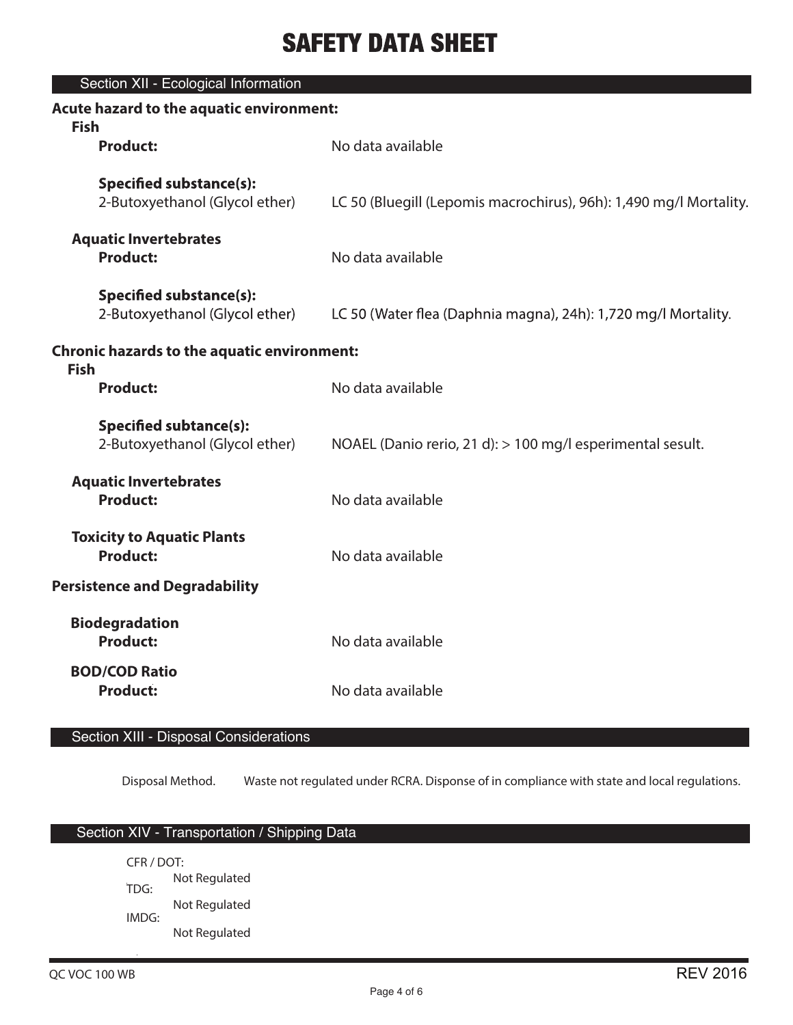| Section XII - Ecological Information                              |                                                                    |
|-------------------------------------------------------------------|--------------------------------------------------------------------|
| Acute hazard to the aquatic environment:<br><b>Fish</b>           |                                                                    |
| <b>Product:</b>                                                   | No data available                                                  |
| <b>Specified substance(s):</b><br>2-Butoxyethanol (Glycol ether)  | LC 50 (Bluegill (Lepomis macrochirus), 96h): 1,490 mg/l Mortality. |
| <b>Aquatic Invertebrates</b><br><b>Product:</b>                   | No data available                                                  |
| <b>Specified substance(s):</b><br>2-Butoxyethanol (Glycol ether)  | LC 50 (Water flea (Daphnia magna), 24h): 1,720 mg/l Mortality.     |
| <b>Chronic hazards to the aquatic environment:</b><br><b>Fish</b> |                                                                    |
| <b>Product:</b>                                                   | No data available                                                  |
| <b>Specified subtance(s):</b><br>2-Butoxyethanol (Glycol ether)   | NOAEL (Danio rerio, 21 d): > 100 mg/l esperimental sesult.         |
| <b>Aquatic Invertebrates</b><br><b>Product:</b>                   | No data available                                                  |
| <b>Toxicity to Aquatic Plants</b><br><b>Product:</b>              | No data available                                                  |
| <b>Persistence and Degradability</b>                              |                                                                    |
| <b>Biodegradation</b><br><b>Product:</b>                          | No data available                                                  |
| <b>BOD/COD Ratio</b><br><b>Product:</b>                           | No data available                                                  |

# Section XIII - Disposal Considerations

Disposal Method. Waste not regulated under RCRA. Disponse of in compliance with state and local regulations.

## Section XIV - Transportation / Shipping Data

CFR / DOT: Not Regulated TDG: Not Regulated IMDG: Not Regulated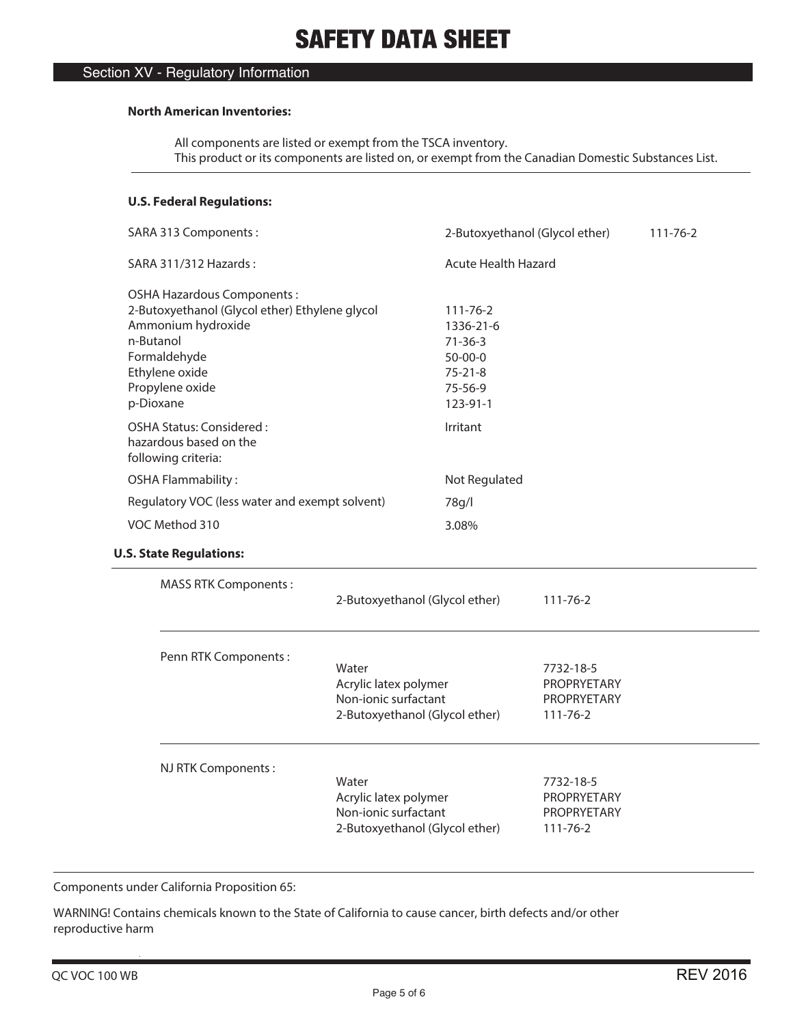## Section XV - Regulatory Information

#### **North American Inventories:**

 All components are listed or exempt from the TSCA inventory. This product or its components are listed on, or exempt from the Canadian Domestic Substances List.

## **U.S. Federal Regulations:**

| SARA 313 Components:                                                                                                                                                              |                                                        |                                                                                                 | 2-Butoxyethanol (Glycol ether)                            | 111-76-2 |
|-----------------------------------------------------------------------------------------------------------------------------------------------------------------------------------|--------------------------------------------------------|-------------------------------------------------------------------------------------------------|-----------------------------------------------------------|----------|
| SARA 311/312 Hazards:                                                                                                                                                             |                                                        | <b>Acute Health Hazard</b>                                                                      |                                                           |          |
| OSHA Hazardous Components:<br>2-Butoxyethanol (Glycol ether) Ethylene glycol<br>Ammonium hydroxide<br>n-Butanol<br>Formaldehyde<br>Ethylene oxide<br>Propylene oxide<br>p-Dioxane |                                                        | 111-76-2<br>1336-21-6<br>$71 - 36 - 3$<br>$50 - 00 - 0$<br>$75 - 21 - 8$<br>75-56-9<br>123-91-1 |                                                           |          |
| OSHA Status: Considered:<br>hazardous based on the<br>following criteria:                                                                                                         |                                                        | Irritant                                                                                        |                                                           |          |
| <b>OSHA Flammability:</b>                                                                                                                                                         |                                                        | Not Regulated                                                                                   |                                                           |          |
| Regulatory VOC (less water and exempt solvent)                                                                                                                                    |                                                        | 78g/l                                                                                           |                                                           |          |
| VOC Method 310                                                                                                                                                                    |                                                        | 3.08%                                                                                           |                                                           |          |
| <b>U.S. State Regulations:</b>                                                                                                                                                    |                                                        |                                                                                                 |                                                           |          |
| <b>MASS RTK Components:</b>                                                                                                                                                       |                                                        | 2-Butoxyethanol (Glycol ether)                                                                  | 111-76-2                                                  |          |
| Penn RTK Components:                                                                                                                                                              | Water<br>Acrylic latex polymer<br>Non-ionic surfactant | 2-Butoxyethanol (Glycol ether)                                                                  | 7732-18-5<br>PROPRYETARY<br>PROPRYETARY<br>$111 - 76 - 2$ |          |
| NJ RTK Components:                                                                                                                                                                | Water<br>Acrylic latex polymer<br>Non-ionic surfactant | 2-Butoxyethanol (Glycol ether)                                                                  | 7732-18-5<br>PROPRYETARY<br>PROPRYETARY<br>$111 - 76 - 2$ |          |

Components under California Proposition 65:

WARNING! Contains chemicals known to the State of California to cause cancer, birth defects and/or other reproductive harm